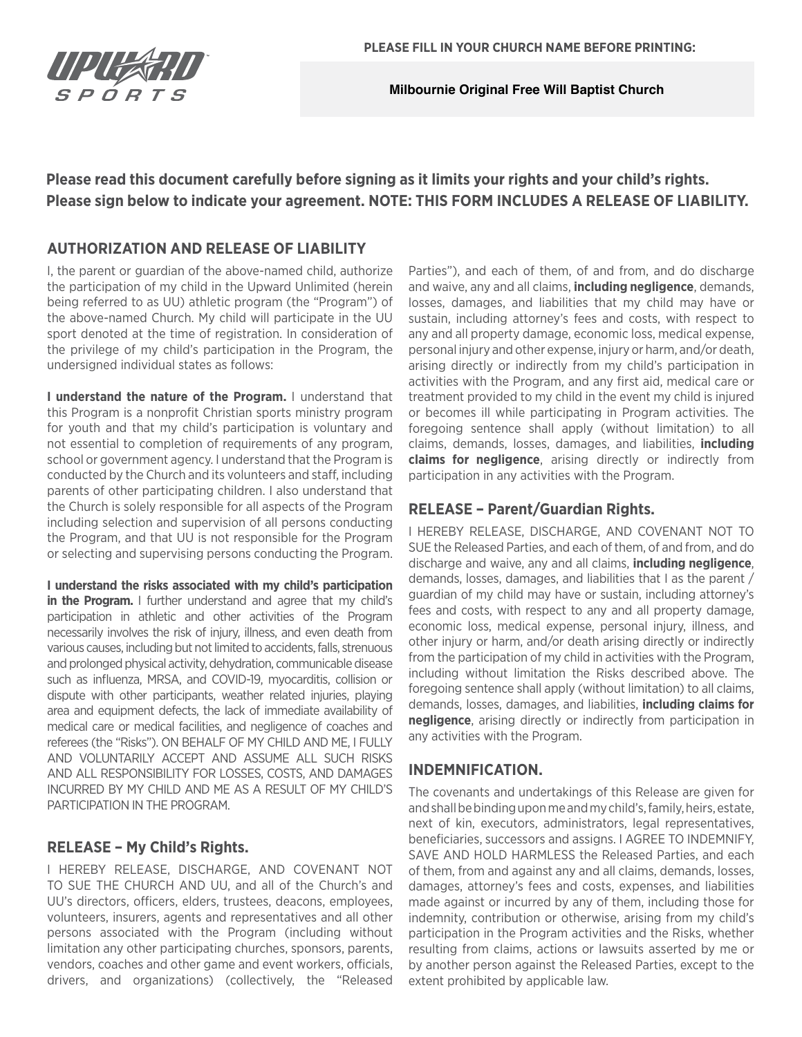

**Milbournie Original Free Will Baptist Church**

# **Please read this document carefully before signing as it limits your rights and your child's rights. Please sign below to indicate your agreement. NOTE: THIS FORM INCLUDES A RELEASE OF LIABILITY.**

# **AUTHORIZATION AND RELEASE OF LIABILITY**

I, the parent or guardian of the above-named child, authorize the participation of my child in the Upward Unlimited (herein being referred to as UU) athletic program (the "Program") of the above-named Church. My child will participate in the UU sport denoted at the time of registration. In consideration of the privilege of my child's participation in the Program, the undersigned individual states as follows:

**I understand the nature of the Program.** I understand that this Program is a nonprofit Christian sports ministry program for youth and that my child's participation is voluntary and not essential to completion of requirements of any program, school or government agency. I understand that the Program is conducted by the Church and its volunteers and staff, including parents of other participating children. I also understand that the Church is solely responsible for all aspects of the Program including selection and supervision of all persons conducting the Program, and that UU is not responsible for the Program or selecting and supervising persons conducting the Program.

**I understand the risks associated with my child's participation in the Program.** I further understand and agree that my child's participation in athletic and other activities of the Program necessarily involves the risk of injury, illness, and even death from various causes, including but not limited to accidents, falls, strenuous and prolonged physical activity, dehydration, communicable disease such as influenza, MRSA, and COVID-19, myocarditis, collision or dispute with other participants, weather related injuries, playing area and equipment defects, the lack of immediate availability of medical care or medical facilities, and negligence of coaches and referees (the "Risks"). ON BEHALF OF MY CHILD AND ME, I FULLY AND VOLUNTARILY ACCEPT AND ASSUME ALL SUCH RISKS AND ALL RESPONSIBILITY FOR LOSSES, COSTS, AND DAMAGES INCURRED BY MY CHILD AND ME AS A RESULT OF MY CHILD'S PARTICIPATION IN THE PROGRAM.

## **RELEASE – My Child's Rights.**

I HEREBY RELEASE, DISCHARGE, AND COVENANT NOT TO SUE THE CHURCH AND UU, and all of the Church's and UU's directors, officers, elders, trustees, deacons, employees, volunteers, insurers, agents and representatives and all other persons associated with the Program (including without limitation any other participating churches, sponsors, parents, vendors, coaches and other game and event workers, officials, drivers, and organizations) (collectively, the "Released Parties"), and each of them, of and from, and do discharge and waive, any and all claims, **including negligence**, demands, losses, damages, and liabilities that my child may have or sustain, including attorney's fees and costs, with respect to any and all property damage, economic loss, medical expense, personal injury and other expense, injury or harm, and/or death, arising directly or indirectly from my child's participation in activities with the Program, and any first aid, medical care or treatment provided to my child in the event my child is injured or becomes ill while participating in Program activities. The foregoing sentence shall apply (without limitation) to all claims, demands, losses, damages, and liabilities, **including claims for negligence**, arising directly or indirectly from participation in any activities with the Program.

# **RELEASE – Parent/Guardian Rights.**

I HEREBY RELEASE, DISCHARGE, AND COVENANT NOT TO SUE the Released Parties, and each of them, of and from, and do discharge and waive, any and all claims, **including negligence**, demands, losses, damages, and liabilities that I as the parent / guardian of my child may have or sustain, including attorney's fees and costs, with respect to any and all property damage, economic loss, medical expense, personal injury, illness, and other injury or harm, and/or death arising directly or indirectly from the participation of my child in activities with the Program, including without limitation the Risks described above. The foregoing sentence shall apply (without limitation) to all claims, demands, losses, damages, and liabilities, **including claims for negligence**, arising directly or indirectly from participation in any activities with the Program.

## **INDEMNIFICATION.**

The covenants and undertakings of this Release are given for and shall be binding upon me and my child's, family, heirs, estate, next of kin, executors, administrators, legal representatives, beneficiaries, successors and assigns. I AGREE TO INDEMNIFY, SAVE AND HOLD HARMLESS the Released Parties, and each of them, from and against any and all claims, demands, losses, damages, attorney's fees and costs, expenses, and liabilities made against or incurred by any of them, including those for indemnity, contribution or otherwise, arising from my child's participation in the Program activities and the Risks, whether resulting from claims, actions or lawsuits asserted by me or by another person against the Released Parties, except to the extent prohibited by applicable law.